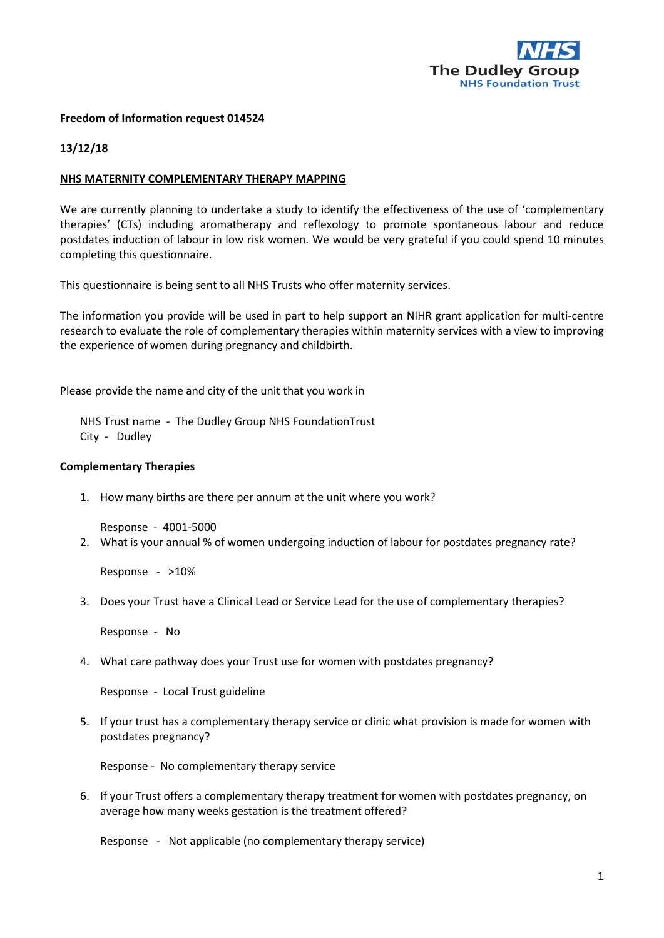

## **Freedom of Information request 014524**

## **13/12/18**

## **NHS MATERNITY COMPLEMENTARY THERAPY MAPPING**

We are currently planning to undertake a study to identify the effectiveness of the use of 'complementary therapies' (CTs) including aromatherapy and reflexology to promote spontaneous labour and reduce postdates induction of labour in low risk women. We would be very grateful if you could spend 10 minutes completing this questionnaire.

This questionnaire is being sent to all NHS Trusts who offer maternity services.

The information you provide will be used in part to help support an NIHR grant application for multi-centre research to evaluate the role of complementary therapies within maternity services with a view to improving the experience of women during pregnancy and childbirth.

Please provide the name and city of the unit that you work in

NHS Trust name - The Dudley Group NHS FoundationTrust City - Dudley

## **Complementary Therapies**

1. How many births are there per annum at the unit where you work?

Response - 4001-5000

2. What is your annual % of women undergoing induction of labour for postdates pregnancy rate?

Response - >10%

3. Does your Trust have a Clinical Lead or Service Lead for the use of complementary therapies?

Response - No

4. What care pathway does your Trust use for women with postdates pregnancy?

Response - Local Trust guideline

5. If your trust has a complementary therapy service or clinic what provision is made for women with postdates pregnancy?

Response - No complementary therapy service

6. If your Trust offers a complementary therapy treatment for women with postdates pregnancy, on average how many weeks gestation is the treatment offered?

Response - Not applicable (no complementary therapy service)